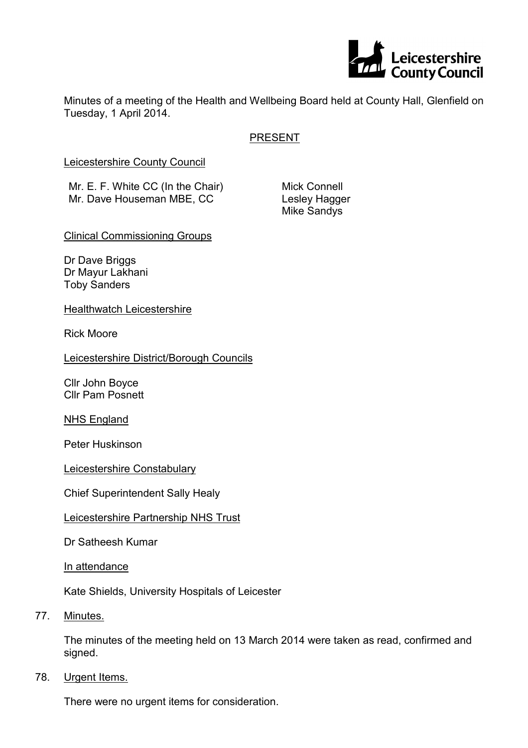

Minutes of a meeting of the Health and Wellbeing Board held at County Hall, Glenfield on Tuesday, 1 April 2014.

# PRESENT

Leicestershire County Council

Mr. E. F. White CC (In the Chair) Mr. Dave Houseman MBE, CC

Mick Connell Lesley Hagger Mike Sandys

Clinical Commissioning Groups

Dr Dave Briggs Dr Mayur Lakhani Toby Sanders

Healthwatch Leicestershire

Rick Moore

Leicestershire District/Borough Councils

Cllr John Boyce Cllr Pam Posnett

NHS England

Peter Huskinson

Leicestershire Constabulary

Chief Superintendent Sally Healy

## Leicestershire Partnership NHS Trust

Dr Satheesh Kumar

In attendance

Kate Shields, University Hospitals of Leicester

77. Minutes.

The minutes of the meeting held on 13 March 2014 were taken as read, confirmed and signed.

78. Urgent Items.

There were no urgent items for consideration.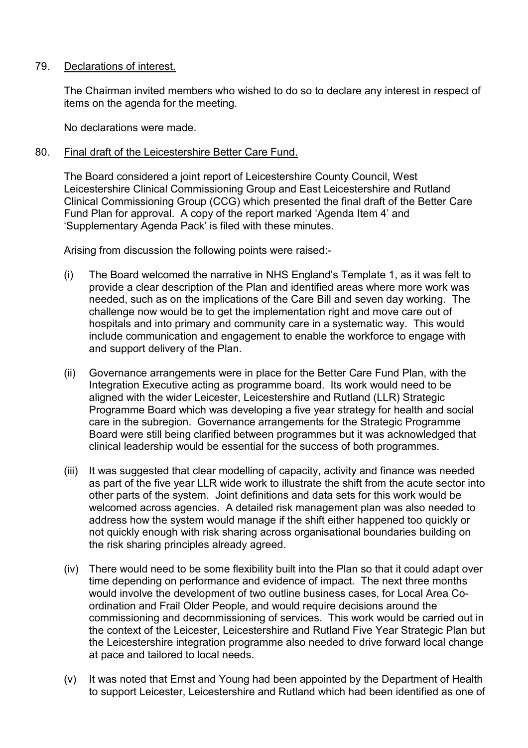## 79. Declarations of interest.

The Chairman invited members who wished to do so to declare any interest in respect of items on the agenda for the meeting.

No declarations were made.

# 80. Final draft of the Leicestershire Better Care Fund.

The Board considered a joint report of Leicestershire County Council, West Leicestershire Clinical Commissioning Group and East Leicestershire and Rutland Clinical Commissioning Group (CCG) which presented the final draft of the Better Care Fund Plan for approval. A copy of the report marked 'Agenda Item 4' and 'Supplementary Agenda Pack' is filed with these minutes.

Arising from discussion the following points were raised:-

- (i) The Board welcomed the narrative in NHS England's Template 1, as it was felt to provide a clear description of the Plan and identified areas where more work was needed, such as on the implications of the Care Bill and seven day working. The challenge now would be to get the implementation right and move care out of hospitals and into primary and community care in a systematic way. This would include communication and engagement to enable the workforce to engage with and support delivery of the Plan.
- (ii) Governance arrangements were in place for the Better Care Fund Plan, with the Integration Executive acting as programme board. Its work would need to be aligned with the wider Leicester, Leicestershire and Rutland (LLR) Strategic Programme Board which was developing a five year strategy for health and social care in the subregion. Governance arrangements for the Strategic Programme Board were still being clarified between programmes but it was acknowledged that clinical leadership would be essential for the success of both programmes.
- (iii) It was suggested that clear modelling of capacity, activity and finance was needed as part of the five year LLR wide work to illustrate the shift from the acute sector into other parts of the system. Joint definitions and data sets for this work would be welcomed across agencies. A detailed risk management plan was also needed to address how the system would manage if the shift either happened too quickly or not quickly enough with risk sharing across organisational boundaries building on the risk sharing principles already agreed.
- (iv) There would need to be some flexibility built into the Plan so that it could adapt over time depending on performance and evidence of impact. The next three months would involve the development of two outline business cases, for Local Area Coordination and Frail Older People, and would require decisions around the commissioning and decommissioning of services. This work would be carried out in the context of the Leicester, Leicestershire and Rutland Five Year Strategic Plan but the Leicestershire integration programme also needed to drive forward local change at pace and tailored to local needs.
- (v) It was noted that Ernst and Young had been appointed by the Department of Health to support Leicester, Leicestershire and Rutland which had been identified as one of